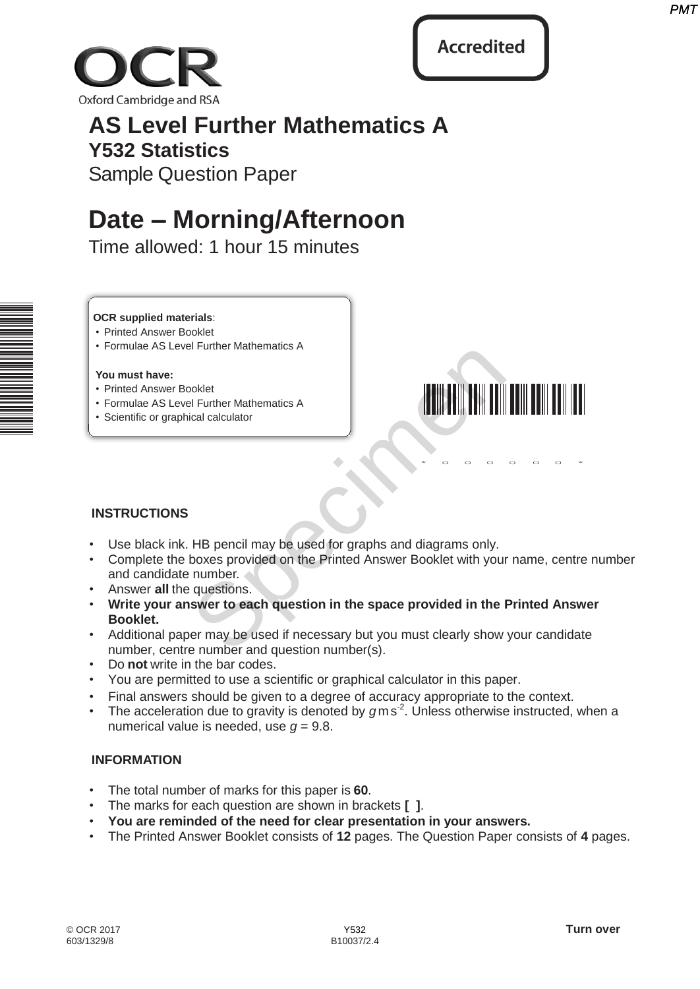



# **AS Level Further Mathematics A Y532 Statistics**

Sample Question Paper

# **Date – Morning/Afternoon**

Time allowed: 1 hour 15 minutes

### **OCR supplied materials**:

- Printed Answer Booklet
- Formulae AS Level Further Mathematics A

#### **You must have:**

- Printed Answer Booklet
- Formulae AS Level Further Mathematics A
- Scientific or graphical calculator



 $*$  0 0 0 0 0 0  $*$ 

# **INSTRUCTIONS**

- Use black ink. HB pencil may be used for graphs and diagrams only.
- Complete the boxes provided on the Printed Answer Booklet with your name, centre number and candidate number. Printer Mathematics A<br>
Special calculator<br>
Special calculator<br>
Special calculator<br>
Special calculator<br>
Special calculator<br>
Special calculator<br>
Special calculator<br>
Special calculator<br>
Special calculator<br>
Special calculator<br>
- Answer **all** the questions.
- **Write your answer to each question in the space provided in the Printed Answer Booklet.**
- Additional paper may be used if necessary but you must clearly show your candidate number, centre number and question number(s).
- Do **not** write in the bar codes.
- You are permitted to use a scientific or graphical calculator in this paper.
- Final answers should be given to a degree of accuracy appropriate to the context.
- The acceleration due to gravity is denoted by gms<sup>2</sup>. Unless otherwise instructed, when a numerical value is needed, use  $q = 9.8$ .

# **INFORMATION**

- The total number of marks for this paper is **60**.
- The marks for each question are shown in brackets **[ ]**.
- **You are reminded of the need for clear presentation in your answers.**
- The Printed Answer Booklet consists of **12** pages. The Question Paper consists of **4** pages.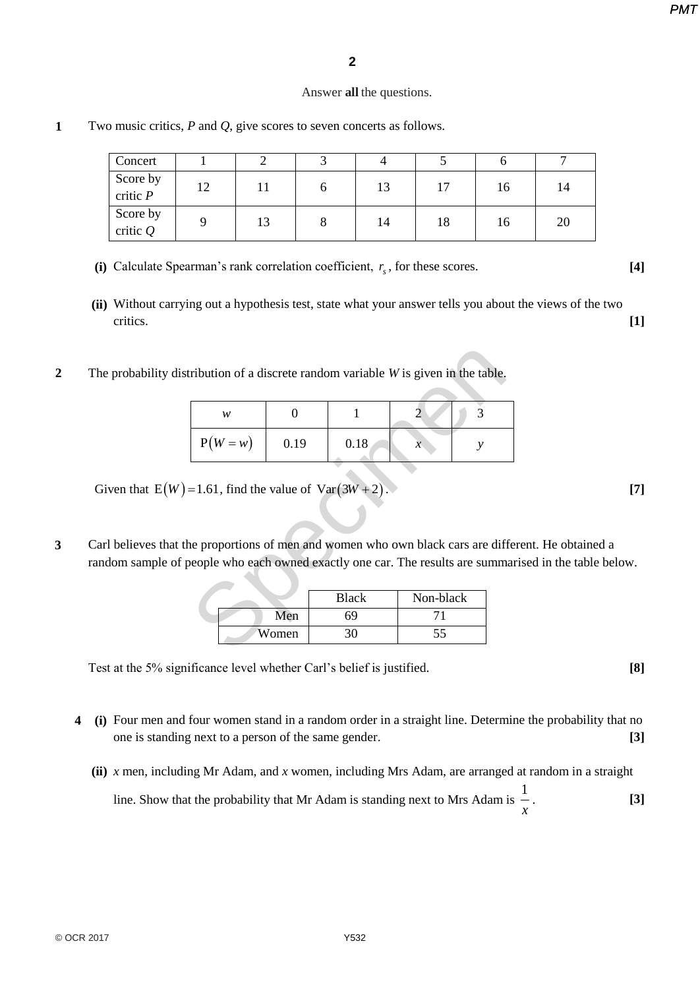*PMT*

## Answer **all** the questions.

| Concert                |    |    |   |    |    |    |    |
|------------------------|----|----|---|----|----|----|----|
| Score by<br>critic $P$ | 12 |    | O | 13 | 17 | 16 | 14 |
| Score by<br>critic Q   |    | 13 | 8 | 14 | 18 | 16 | 20 |

**1** Two music critics, *P* and *Q*, give scores to seven concerts as follows.

- **(i)** Calculate Spearman's rank correlation coefficient,  $r<sub>s</sub>$ , for these scores. [4]
- **(ii)** Without carrying out a hypothesis test, state what your answer tells you about the views of the two critics. **[1]**
- **2** The probability distribution of a discrete random variable *W* is given in the table.

| tribution of a discrete random variable W is given in the table.                                                                                                              |       |                    |                 |   |  |  |  |  |
|-------------------------------------------------------------------------------------------------------------------------------------------------------------------------------|-------|--------------------|-----------------|---|--|--|--|--|
| w                                                                                                                                                                             | 0     | 1                  | 2               | 3 |  |  |  |  |
| $P(W = w)$                                                                                                                                                                    | 0.19  | 0.18               | $\overline{x}$  | у |  |  |  |  |
| $=1.61$ , find the value of $Var(3W+2)$ .<br>he proportions of men and women who own black cars are different<br>beople who each owned exactly one car. The results are summa |       |                    |                 |   |  |  |  |  |
|                                                                                                                                                                               | Men   | <b>Black</b><br>69 | Non-black<br>71 |   |  |  |  |  |
|                                                                                                                                                                               | Women | 30                 | 55              |   |  |  |  |  |
|                                                                                                                                                                               |       |                    |                 |   |  |  |  |  |

Given that  $E(W) = 1.61$ , find the value of  $Var(3W + 2)$ . [7]

**3** Carl believes that the proportions of men and women who own black cars are different. He obtained a random sample of people who each owned exactly one car. The results are summarised in the table below.

|       | <b>Black</b> | Non-black |
|-------|--------------|-----------|
| Men   | 59           |           |
| Women |              | - د       |

Test at the 5% significance level whether Carl's belief is justified. **[8]**

- **4 (i)** Four men and four women stand in a random order in a straight line. Determine the probability that no one is standing next to a person of the same gender. **[3]**
	- **(ii)** *x* men, including Mr Adam, and *x* women, including Mrs Adam, are arranged at random in a straight line. Show that the probability that Mr Adam is standing next to Mrs Adam is  $\frac{1}{1}$  $\frac{1}{x}$ . [3]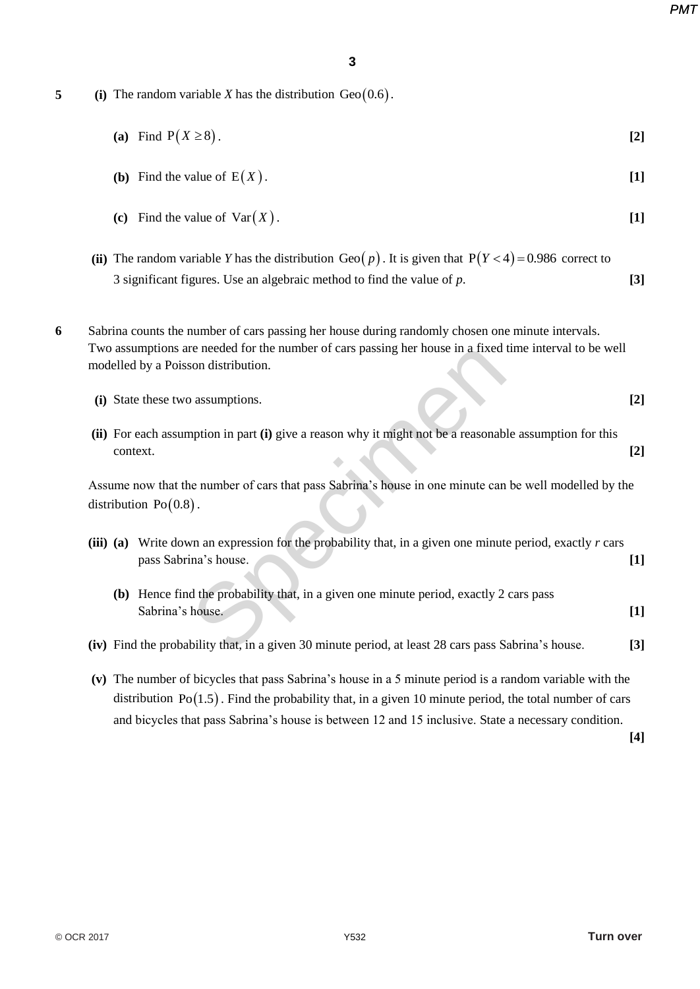*PMT*

- **5** (i) The random variable *X* has the distribution  $Geo(0.6)$ .
	- (a) Find  $P(X \ge 8)$ . [2]
	- **(b)** Find the value of  $E(X)$ . [1]
	- (c) Find the value of  $\text{Var}(X)$ . [1]
	- (ii) The random variable *Y* has the distribution Geo(p). It is given that  $P(Y < 4) = 0.986$  correct to 3 significant figures. Use an algebraic method to find the value of *p*. **[3]**
- **6** Sabrina counts the number of cars passing her house during randomly chosen one minute intervals. Two assumptions are needed for the number of cars passing her house in a fixed time interval to be well modelled by a Poisson distribution.
	- **(i)** State these two assumptions. **[2]**
	- **(ii)** For each assumption in part **(i)** give a reason why it might not be a reasonable assumption for this context. **[2]**

Assume now that the number of cars that pass Sabrina's house in one minute can be well modelled by the distribution  $Po(0.8)$ .

- **(iii) (a)** Write down an expression for the probability that, in a given one minute period, exactly *r* cars pass Sabrina's house. **[1] (b)** Hence find the probability that, in a given one minute period, exactly 2 cars pass Sabrina's house. **[1] [1]** The needed for the number of cars passing her nouse in a fixed<br>son distribution.<br>Dependence of cars that pass Sabrina's house in one minute can<br>be number of cars that pass Sabrina's house in one minute can<br>Speciment of car
- **(iv)** Find the probability that, in a given 30 minute period, at least 28 cars pass Sabrina's house. **[3]**
- **(v)** The number of bicycles that pass Sabrina's house in a 5 minute period is a random variable with the distribution  $Po(1.5)$ . Find the probability that, in a given 10 minute period, the total number of cars and bicycles that pass Sabrina's house is between 12 and 15 inclusive. State a necessary condition.

 **[4]**